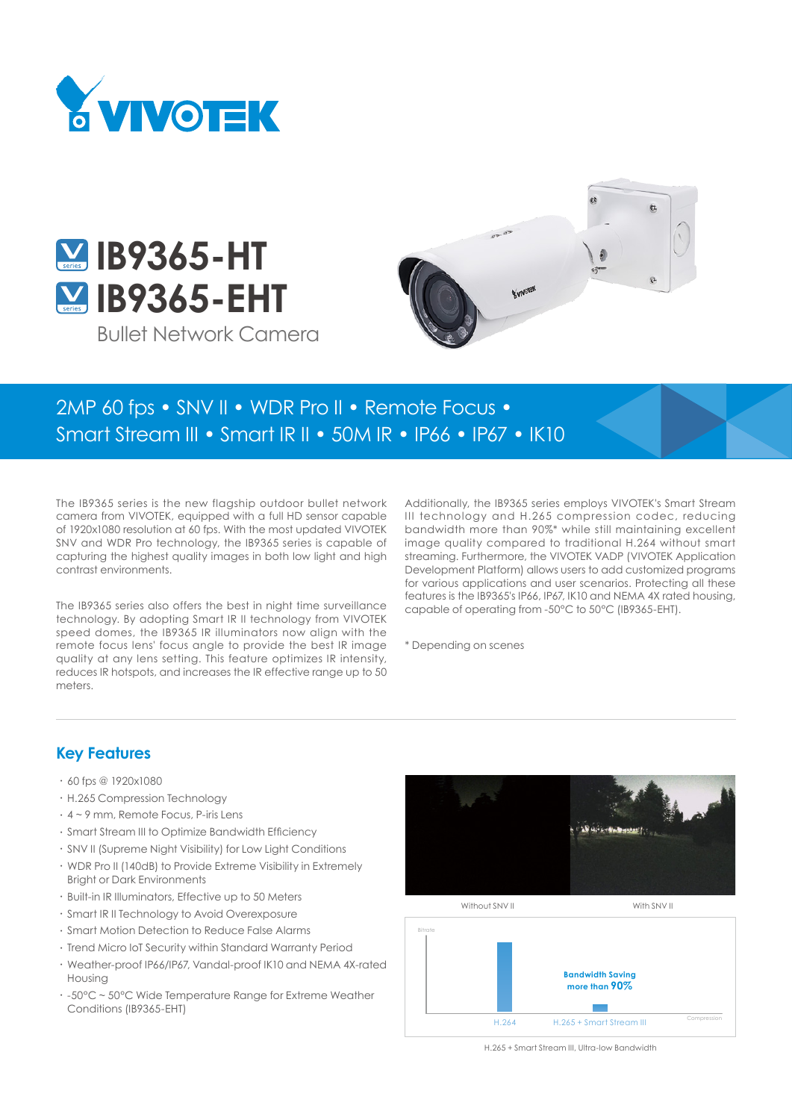



Bullet Network Camera



# 2MP 60 fps • SNV II • WDR Pro II • Remote Focus • Smart Stream III • Smart IR II • 50M IR • IP66 • IP67 • IK10

The IB9365 series is the new flagship outdoor bullet network camera from VIVOTEK, equipped with a full HD sensor capable of 1920x1080 resolution at 60 fps. With the most updated VIVOTEK SNV and WDR Pro technology, the IB9365 series is capable of capturing the highest quality images in both low light and high contrast environments.

The IB9365 series also offers the best in night time surveillance technology. By adopting Smart IR II technology from VIVOTEK speed domes, the IB9365 IR illuminators now align with the remote focus lens' focus angle to provide the best IR image quality at any lens setting. This feature optimizes IR intensity, reduces IR hotspots, and increases the IR effective range up to 50 meters.

Additionally, the IB9365 series employs VIVOTEK's Smart Stream III technology and H.265 compression codec, reducing bandwidth more than 90%\* while still maintaining excellent image quality compared to traditional H.264 without smart streaming. Furthermore, the VIVOTEK VADP (VIVOTEK Application Development Platform) allows users to add customized programs for various applications and user scenarios. Protecting all these features is the IB9365's IP66, IP67, IK10 and NEMA 4X rated housing, capable of operating from -50°C to 50°C (IB9365-EHT).

\* Depending on scenes

#### **Key Features**

- $\cdot$  60 fps @ 1920x1080
- • H.265 Compression Technology
- • 4 ~ 9 mm, Remote Focus, P-iris Lens
- • Smart Stream III to Optimize Bandwidth Efficiency
- • SNV II (Supreme Night Visibility) for Low Light Conditions
- • WDR Pro II (140dB) to Provide Extreme Visibility in Extremely Bright or Dark Environments
- • Built-in IR Illuminators, Effective up to 50 Meters
- • Smart IR II Technology to Avoid Overexposure
- • Smart Motion Detection to Reduce False Alarms
- • Trend Micro IoT Security within Standard Warranty Period
- • Weather-proof IP66/IP67, Vandal-proof IK10 and NEMA 4X-rated Housing
- • -50°C ~ 50°C Wide Temperature Range for Extreme Weather Conditions (IB9365-EHT)





H.265 + Smart Stream III, Ultra-low Bandwidth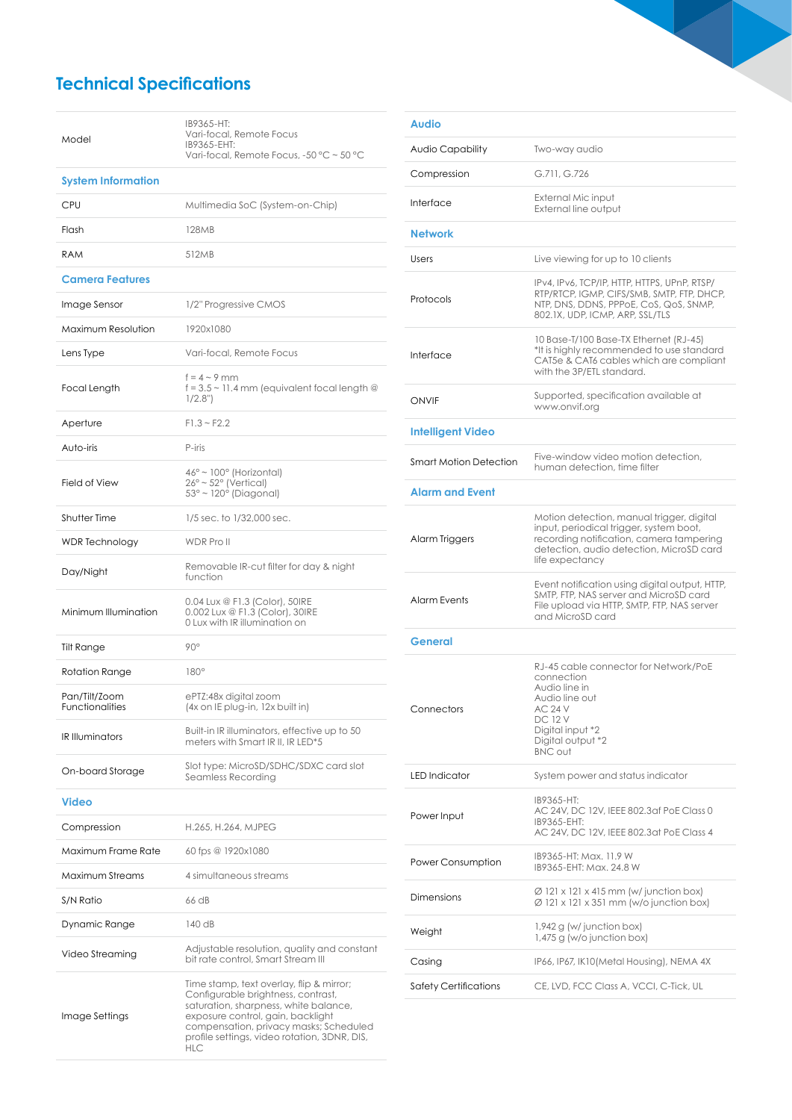## **Technical Specifications**

| Model                                   | IB9365-HT:<br>Vari-focal, Remote Focus<br>IB9365-EHT:<br>Vari-focal, Remote Focus, -50 °C ~ 50 °C                                                                                                                                                                    |
|-----------------------------------------|----------------------------------------------------------------------------------------------------------------------------------------------------------------------------------------------------------------------------------------------------------------------|
| <b>System Information</b>               |                                                                                                                                                                                                                                                                      |
| CPU                                     | Multimedia SoC (System-on-Chip)                                                                                                                                                                                                                                      |
| Flash                                   | 128MB                                                                                                                                                                                                                                                                |
| <b>RAM</b>                              | 512MB                                                                                                                                                                                                                                                                |
| <b>Camera Features</b>                  |                                                                                                                                                                                                                                                                      |
| Image Sensor                            | 1/2" Progressive CMOS                                                                                                                                                                                                                                                |
| Maximum Resolution                      | 1920x1080                                                                                                                                                                                                                                                            |
| Lens Type                               | Vari-focal, Remote Focus                                                                                                                                                                                                                                             |
| Focal Length                            | $f = 4 \sim 9$ mm<br>$f = 3.5 \sim 11.4$ mm (equivalent focal length @<br>1/2.8"                                                                                                                                                                                     |
| Aperture                                | $F1.3 - F2.2$                                                                                                                                                                                                                                                        |
| Auto-iris                               | P-iris                                                                                                                                                                                                                                                               |
| Field of View                           | $46^\circ \sim 100^\circ$ (Horizontal)<br>$26^\circ \sim 52^\circ$ (Vertical)<br>$53^\circ \sim 120^\circ$ (Diagonal)                                                                                                                                                |
| <b>Shutter Time</b>                     | 1/5 sec. to 1/32,000 sec.                                                                                                                                                                                                                                            |
| <b>WDR</b> Technology                   | <b>WDR Pro II</b>                                                                                                                                                                                                                                                    |
| Day/Night                               | Removable IR-cut filter for day & night<br>function                                                                                                                                                                                                                  |
| Minimum Illumination                    | 0.04 Lux @ F1.3 (Color), 50IRE<br>0.002 Lux @ F1.3 (Color), 30IRE<br>0 Lux with IR illumination on                                                                                                                                                                   |
| <b>Tilt Range</b>                       | $90^\circ$                                                                                                                                                                                                                                                           |
| Rotation Range                          | $180^\circ$                                                                                                                                                                                                                                                          |
| Pan/Tilt/Zoom<br><b>Functionalities</b> | ePTZ:48x digital zoom<br>(4x on IE plug-in, 12x built in)                                                                                                                                                                                                            |
| <b>IR Illuminators</b>                  | Built-in IR illuminators, effective up to 50<br>meters with Smart IR II, IR LED*5                                                                                                                                                                                    |
| On-board Storage                        | Slot type: MicroSD/SDHC/SDXC card slot<br>Seamless Recordina                                                                                                                                                                                                         |
| <b>Video</b>                            |                                                                                                                                                                                                                                                                      |
| Compression                             | H.265, H.264, MJPEG                                                                                                                                                                                                                                                  |
| Maximum Frame Rate                      | 60 fps @ 1920x1080                                                                                                                                                                                                                                                   |
| Maximum Streams                         | 4 simultaneous streams                                                                                                                                                                                                                                               |
| S/N Ratio                               | 66 dB                                                                                                                                                                                                                                                                |
| Dynamic Range                           | 140 dB                                                                                                                                                                                                                                                               |
| Video Streaming                         | Adjustable resolution, quality and constant<br>bit rate control, Smart Stream III                                                                                                                                                                                    |
| Image Settings                          | Time stamp, text overlay, flip & mirror;<br>Configurable brightness, contrast,<br>saturation, sharpness, white balance,<br>exposure control, gain, backlight<br>compensation, privacy masks; Scheduled<br>profile settings, video rotation, 3DNR, DIS,<br><b>HLC</b> |

| <b>Audio</b>             |                                                                                                                                                                                                 |
|--------------------------|-------------------------------------------------------------------------------------------------------------------------------------------------------------------------------------------------|
| Audio Capability         | Two-way audio                                                                                                                                                                                   |
| Compression              | G.711, G.726                                                                                                                                                                                    |
| Interface                | External Mic input<br>External line output                                                                                                                                                      |
| <b>Network</b>           |                                                                                                                                                                                                 |
| Users                    | Live viewing for up to 10 clients                                                                                                                                                               |
| Protocols                | IPv4, IPv6, TCP/IP, HTTP, HTTPS, UPnP, RTSP/<br>RTP/RTCP, IGMP, CIFS/SMB, SMTP, FTP, DHCP,<br>NTP, DNS, DDNS, PPPoE, CoS, QoS, SNMP,<br>802.1X, UDP, ICMP, ARP, SSL/TLS                         |
| Interface                | 10 Base-T/100 Base-TX Ethernet (RJ-45)<br>*It is highly recommended to use standard<br>CAT5e & CAT6 cables which are compliant<br>with the 3P/ETL standard.                                     |
| <b>ONVIF</b>             | Supported, specification available at<br>www.onvif.org                                                                                                                                          |
| <b>Intelligent Video</b> |                                                                                                                                                                                                 |
| Smart Motion Detection   | Five-window video motion detection.<br>human detection, time filter                                                                                                                             |
| <b>Alarm and Event</b>   |                                                                                                                                                                                                 |
| Alarm Triggers           | Motion detection, manual trigger, digital<br>input, periodical trigger, system boot,<br>recording notification, camera tampering<br>detection, audio detection, MicroSD card<br>life expectancy |
| <b>Alarm Events</b>      | Event notification using digital output, HTTP,<br>SMTP, FTP, NAS server and MicroSD card<br>File upload via HTTP, SMTP, FTP, NAS server<br>and MicroSD card                                     |
| <b>General</b>           |                                                                                                                                                                                                 |
| Connectors               | RJ-45 cable connector for Network/PoE<br>connection<br>Audio line in<br>Audio line out<br>AC 24 V<br>DC 12 V<br>Digital input *2<br>Digital output *2<br><b>BNC out</b>                         |
| <b>LED</b> Indicator     | System power and status indicator                                                                                                                                                               |
| Power Input              | IB9365-HT:<br>AC 24V, DC 12V, IEEE 802.3af PoE Class 0<br>IB9365-EHT:<br>AC 24V, DC 12V, IEEE 802.3at PoE Class 4                                                                               |
| Power Consumption        | IB9365-HT: Max. 11.9 W<br>IB9365-EHT: Max. 24.8 W                                                                                                                                               |
| Dimensions               | $\varnothing$ 121 x 121 x 415 mm (w/ junction box)<br>$\varnothing$ 121 x 121 x 351 mm (w/o junction box)                                                                                       |
| Weight                   | $1,942$ g (w/ junction box)<br>$1,475$ g (w/o junction box)                                                                                                                                     |
| Casing                   | IP66, IP67, IK10 (Metal Housing), NEMA 4X                                                                                                                                                       |
| Safety Certifications    | CE, LVD, FCC Class A, VCCI, C-Tick, UL                                                                                                                                                          |